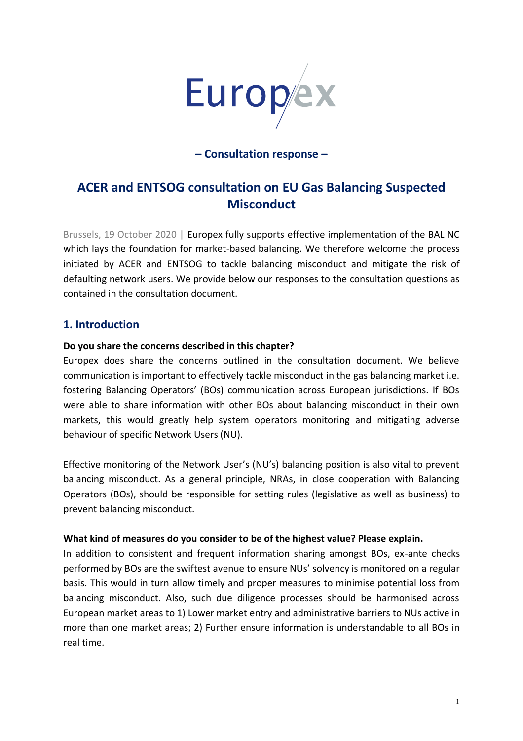

## **– Consultation response –**

# **ACER and ENTSOG consultation on EU Gas Balancing Suspected Misconduct**

Brussels, 19 October 2020 | Europex fully supports effective implementation of the BAL NC which lays the foundation for market-based balancing. We therefore welcome the process initiated by ACER and ENTSOG to tackle balancing misconduct and mitigate the risk of defaulting network users. We provide below our responses to the consultation questions as contained in the consultation document.

## **1. Introduction**

### **Do you share the concerns described in this chapter?**

Europex does share the concerns outlined in the consultation document. We believe communication is important to effectively tackle misconduct in the gas balancing market i.e. fostering Balancing Operators' (BOs) communication across European jurisdictions. If BOs were able to share information with other BOs about balancing misconduct in their own markets, this would greatly help system operators monitoring and mitigating adverse behaviour of specific Network Users (NU).

Effective monitoring of the Network User's (NU's) balancing position is also vital to prevent balancing misconduct. As a general principle, NRAs, in close cooperation with Balancing Operators (BOs), should be responsible for setting rules (legislative as well as business) to prevent balancing misconduct.

#### **What kind of measures do you consider to be of the highest value? Please explain.**

In addition to consistent and frequent information sharing amongst BOs, ex-ante checks performed by BOs are the swiftest avenue to ensure NUs' solvency is monitored on a regular basis. This would in turn allow timely and proper measures to minimise potential loss from balancing misconduct. Also, such due diligence processes should be harmonised across European market areas to 1) Lower market entry and administrative barriers to NUs active in more than one market areas; 2) Further ensure information is understandable to all BOs in real time.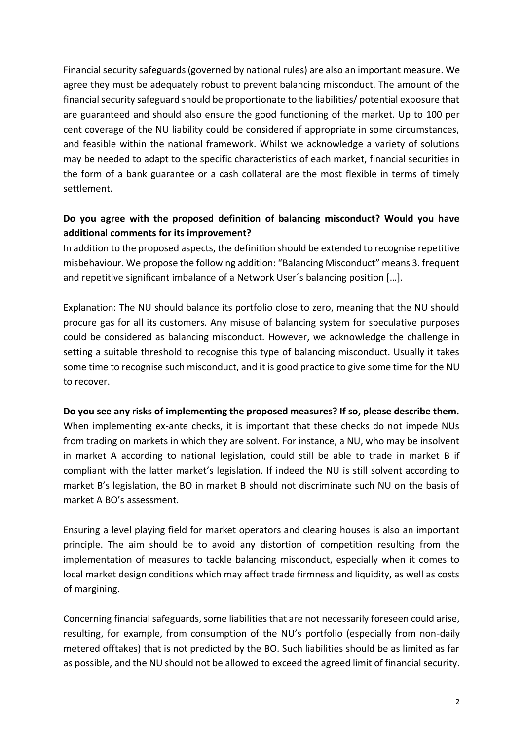Financial security safeguards (governed by national rules) are also an important measure. We agree they must be adequately robust to prevent balancing misconduct. The amount of the financial security safeguard should be proportionate to the liabilities/ potential exposure that are guaranteed and should also ensure the good functioning of the market. Up to 100 per cent coverage of the NU liability could be considered if appropriate in some circumstances, and feasible within the national framework. Whilst we acknowledge a variety of solutions may be needed to adapt to the specific characteristics of each market, financial securities in the form of a bank guarantee or a cash collateral are the most flexible in terms of timely settlement.

# **Do you agree with the proposed definition of balancing misconduct? Would you have additional comments for its improvement?**

In addition to the proposed aspects, the definition should be extended to recognise repetitive misbehaviour. We propose the following addition: "Balancing Misconduct" means 3. frequent and repetitive significant imbalance of a Network User´s balancing position […].

Explanation: The NU should balance its portfolio close to zero, meaning that the NU should procure gas for all its customers. Any misuse of balancing system for speculative purposes could be considered as balancing misconduct. However, we acknowledge the challenge in setting a suitable threshold to recognise this type of balancing misconduct. Usually it takes some time to recognise such misconduct, and it is good practice to give some time for the NU to recover.

# **Do you see any risks of implementing the proposed measures? If so, please describe them.**  When implementing ex-ante checks, it is important that these checks do not impede NUs from trading on markets in which they are solvent. For instance, a NU, who may be insolvent in market A according to national legislation, could still be able to trade in market B if compliant with the latter market's legislation. If indeed the NU is still solvent according to market B's legislation, the BO in market B should not discriminate such NU on the basis of market A BO's assessment.

Ensuring a level playing field for market operators and clearing houses is also an important principle. The aim should be to avoid any distortion of competition resulting from the implementation of measures to tackle balancing misconduct, especially when it comes to local market design conditions which may affect trade firmness and liquidity, as well as costs of margining.

Concerning financial safeguards, some liabilities that are not necessarily foreseen could arise, resulting, for example, from consumption of the NU's portfolio (especially from non-daily metered offtakes) that is not predicted by the BO. Such liabilities should be as limited as far as possible, and the NU should not be allowed to exceed the agreed limit of financial security.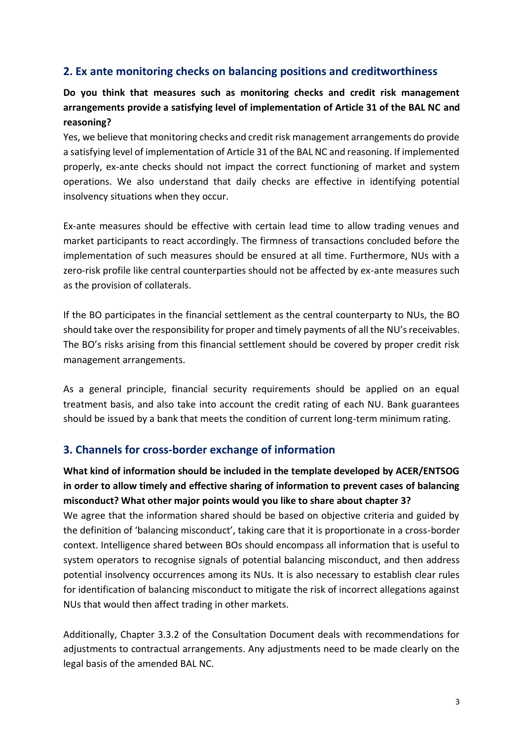# **2. Ex ante monitoring checks on balancing positions and creditworthiness**

# **Do you think that measures such as monitoring checks and credit risk management arrangements provide a satisfying level of implementation of Article 31 of the BAL NC and reasoning?**

Yes, we believe that monitoring checks and credit risk management arrangements do provide a satisfying level of implementation of Article 31 of the BAL NC and reasoning. If implemented properly, ex-ante checks should not impact the correct functioning of market and system operations. We also understand that daily checks are effective in identifying potential insolvency situations when they occur.

Ex-ante measures should be effective with certain lead time to allow trading venues and market participants to react accordingly. The firmness of transactions concluded before the implementation of such measures should be ensured at all time. Furthermore, NUs with a zero-risk profile like central counterparties should not be affected by ex-ante measures such as the provision of collaterals.

If the BO participates in the financial settlement as the central counterparty to NUs, the BO should take over the responsibility for proper and timely payments of all the NU's receivables. The BO's risks arising from this financial settlement should be covered by proper credit risk management arrangements.

As a general principle, financial security requirements should be applied on an equal treatment basis, and also take into account the credit rating of each NU. Bank guarantees should be issued by a bank that meets the condition of current long-term minimum rating.

## **3. Channels for cross-border exchange of information**

**What kind of information should be included in the template developed by ACER/ENTSOG in order to allow timely and effective sharing of information to prevent cases of balancing misconduct? What other major points would you like to share about chapter 3?**  We agree that the information shared should be based on objective criteria and guided by the definition of 'balancing misconduct', taking care that it is proportionate in a cross-border context. Intelligence shared between BOs should encompass all information that is useful to system operators to recognise signals of potential balancing misconduct, and then address potential insolvency occurrences among its NUs. It is also necessary to establish clear rules for identification of balancing misconduct to mitigate the risk of incorrect allegations against NUs that would then affect trading in other markets.

Additionally, Chapter 3.3.2 of the Consultation Document deals with recommendations for adjustments to contractual arrangements. Any adjustments need to be made clearly on the legal basis of the amended BAL NC.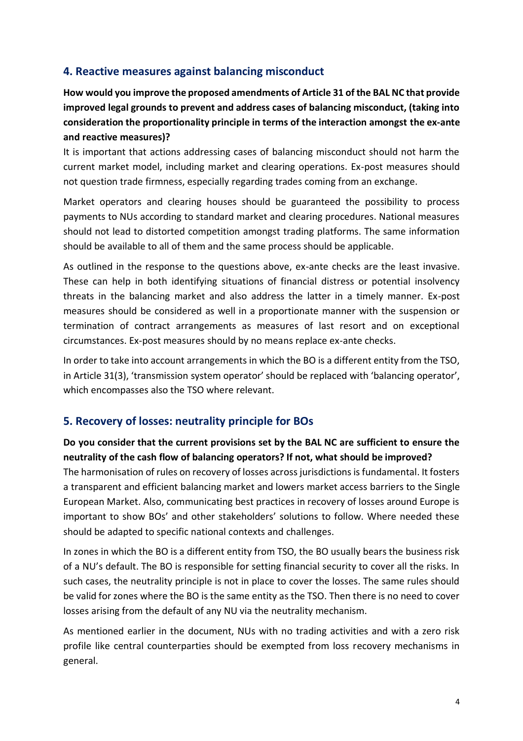# **4. Reactive measures against balancing misconduct**

**How would you improve the proposed amendments of Article 31 of the BAL NC that provide improved legal grounds to prevent and address cases of balancing misconduct, (taking into consideration the proportionality principle in terms of the interaction amongst the ex-ante and reactive measures)?** 

It is important that actions addressing cases of balancing misconduct should not harm the current market model, including market and clearing operations. Ex-post measures should not question trade firmness, especially regarding trades coming from an exchange.

Market operators and clearing houses should be guaranteed the possibility to process payments to NUs according to standard market and clearing procedures. National measures should not lead to distorted competition amongst trading platforms. The same information should be available to all of them and the same process should be applicable.

As outlined in the response to the questions above, ex-ante checks are the least invasive. These can help in both identifying situations of financial distress or potential insolvency threats in the balancing market and also address the latter in a timely manner. Ex-post measures should be considered as well in a proportionate manner with the suspension or termination of contract arrangements as measures of last resort and on exceptional circumstances. Ex-post measures should by no means replace ex-ante checks.

In order to take into account arrangements in which the BO is a different entity from the TSO, in Article 31(3), 'transmission system operator' should be replaced with 'balancing operator', which encompasses also the TSO where relevant.

# **5. Recovery of losses: neutrality principle for BOs**

## **Do you consider that the current provisions set by the BAL NC are sufficient to ensure the neutrality of the cash flow of balancing operators? If not, what should be improved?**

The harmonisation of rules on recovery of losses across jurisdictions is fundamental. It fosters a transparent and efficient balancing market and lowers market access barriers to the Single European Market. Also, communicating best practices in recovery of losses around Europe is important to show BOs' and other stakeholders' solutions to follow. Where needed these should be adapted to specific national contexts and challenges.

In zones in which the BO is a different entity from TSO, the BO usually bears the business risk of a NU's default. The BO is responsible for setting financial security to cover all the risks. In such cases, the neutrality principle is not in place to cover the losses. The same rules should be valid for zones where the BO is the same entity as the TSO. Then there is no need to cover losses arising from the default of any NU via the neutrality mechanism.

As mentioned earlier in the document, NUs with no trading activities and with a zero risk profile like central counterparties should be exempted from loss recovery mechanisms in general.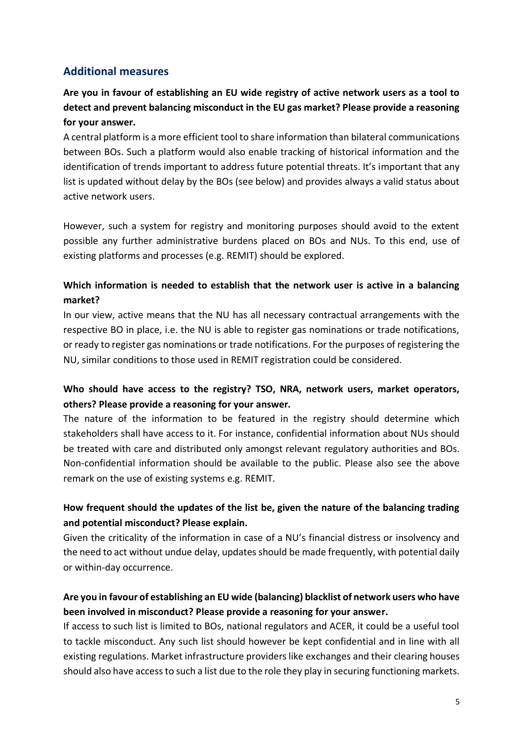# **Additional measures**

# **Are you in favour of establishing an EU wide registry of active network users as a tool to detect and prevent balancing misconduct in the EU gas market? Please provide a reasoning for your answer.**

A central platform is a more efficient tool to share information than bilateral communications between BOs. Such a platform would also enable tracking of historical information and the identification of trends important to address future potential threats. It's important that any list is updated without delay by the BOs (see below) and provides always a valid status about active network users.

However, such a system for registry and monitoring purposes should avoid to the extent possible any further administrative burdens placed on BOs and NUs. To this end, use of existing platforms and processes (e.g. REMIT) should be explored.

# **Which information is needed to establish that the network user is active in a balancing market?**

In our view, active means that the NU has all necessary contractual arrangements with the respective BO in place, i.e. the NU is able to register gas nominations or trade notifications, or ready to register gas nominations or trade notifications. For the purposes of registering the NU, similar conditions to those used in REMIT registration could be considered.

# **Who should have access to the registry? TSO, NRA, network users, market operators, others? Please provide a reasoning for your answer.**

The nature of the information to be featured in the registry should determine which stakeholders shall have access to it. For instance, confidential information about NUs should be treated with care and distributed only amongst relevant regulatory authorities and BOs. Non-confidential information should be available to the public. Please also see the above remark on the use of existing systems e.g. REMIT.

# **How frequent should the updates of the list be, given the nature of the balancing trading and potential misconduct? Please explain.**

Given the criticality of the information in case of a NU's financial distress or insolvency and the need to act without undue delay, updates should be made frequently, with potential daily or within-day occurrence.

# **Are you in favour of establishing an EU wide (balancing) blacklist of network users who have been involved in misconduct? Please provide a reasoning for your answer.**

If access to such list is limited to BOs, national regulators and ACER, it could be a useful tool to tackle misconduct. Any such list should however be kept confidential and in line with all existing regulations. Market infrastructure providers like exchanges and their clearing houses should also have access to such a list due to the role they play in securing functioning markets.